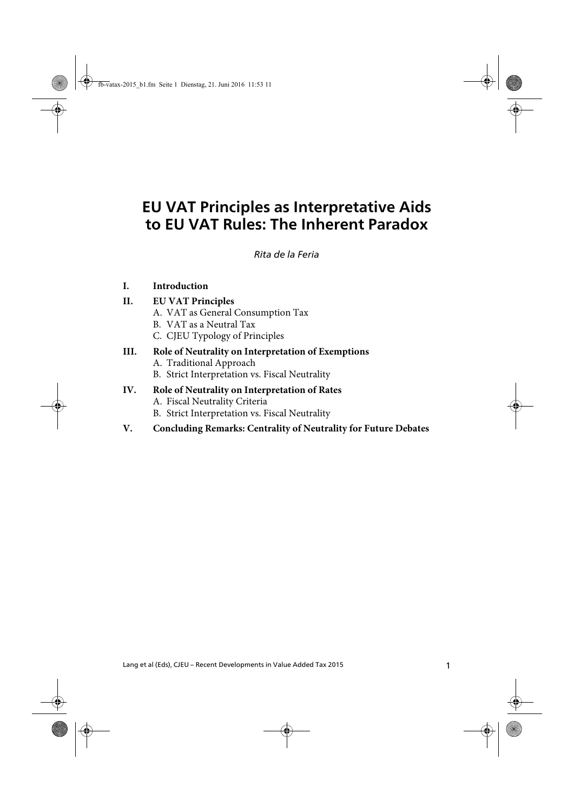# **EU VAT Principles as Interpretative Aids to EU VAT Rules: The Inherent Paradox**

de la Feria EU VAT Principles as Interpretative Aids to EU VAT Rules: The Inherent Paradox *Rita de la Feria*

#### **I. Introduction**

#### **II. EU VAT Principles**

- A. VAT as General Consumption Tax
- B. VAT as a Neutral Tax
- C. CJEU Typology of Principles

#### **III. Role of Neutrality on Interpretation of Exemptions** A. Traditional Approach B. Strict Interpretation vs. Fiscal Neutrality

- **IV. Role of Neutrality on Interpretation of Rates**
	- A. Fiscal Neutrality Criteria
		- B. Strict Interpretation vs. Fiscal Neutrality
- **V. Concluding Remarks: Centrality of Neutrality for Future Debates**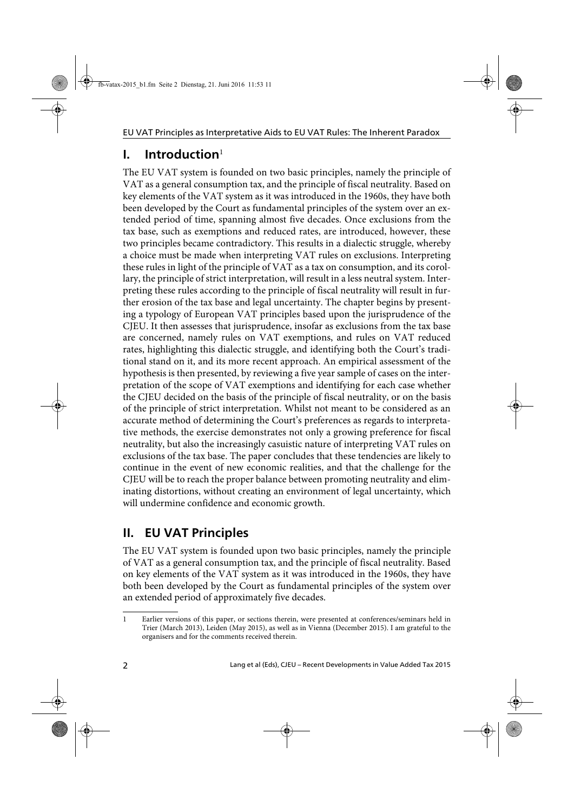## **I. Introduction**<sup>1</sup>

The EU VAT system is founded on two basic principles, namely the principle of VAT as a general consumption tax, and the principle of fiscal neutrality. Based on key elements of the VAT system as it was introduced in the 1960s, they have both been developed by the Court as fundamental principles of the system over an extended period of time, spanning almost five decades. Once exclusions from the tax base, such as exemptions and reduced rates, are introduced, however, these two principles became contradictory. This results in a dialectic struggle, whereby a choice must be made when interpreting VAT rules on exclusions. Interpreting these rules in light of the principle of VAT as a tax on consumption, and its corollary, the principle of strict interpretation, will result in a less neutral system. Interpreting these rules according to the principle of fiscal neutrality will result in further erosion of the tax base and legal uncertainty. The chapter begins by presenting a typology of European VAT principles based upon the jurisprudence of the CJEU. It then assesses that jurisprudence, insofar as exclusions from the tax base are concerned, namely rules on VAT exemptions, and rules on VAT reduced rates, highlighting this dialectic struggle, and identifying both the Court's traditional stand on it, and its more recent approach. An empirical assessment of the hypothesis is then presented, by reviewing a five year sample of cases on the interpretation of the scope of VAT exemptions and identifying for each case whether the CJEU decided on the basis of the principle of fiscal neutrality, or on the basis of the principle of strict interpretation. Whilst not meant to be considered as an accurate method of determining the Court's preferences as regards to interpretative methods, the exercise demonstrates not only a growing preference for fiscal neutrality, but also the increasingly casuistic nature of interpreting VAT rules on exclusions of the tax base. The paper concludes that these tendencies are likely to continue in the event of new economic realities, and that the challenge for the CJEU will be to reach the proper balance between promoting neutrality and eliminating distortions, without creating an environment of legal uncertainty, which will undermine confidence and economic growth.

# **II. EU VAT Principles**

The EU VAT system is founded upon two basic principles, namely the principle of VAT as a general consumption tax, and the principle of fiscal neutrality. Based on key elements of the VAT system as it was introduced in the 1960s, they have both been developed by the Court as fundamental principles of the system over an extended period of approximately five decades.

<sup>1</sup> Earlier versions of this paper, or sections therein, were presented at conferences/seminars held in Trier (March 2013), Leiden (May 2015), as well as in Vienna (December 2015). I am grateful to the organisers and for the comments received therein.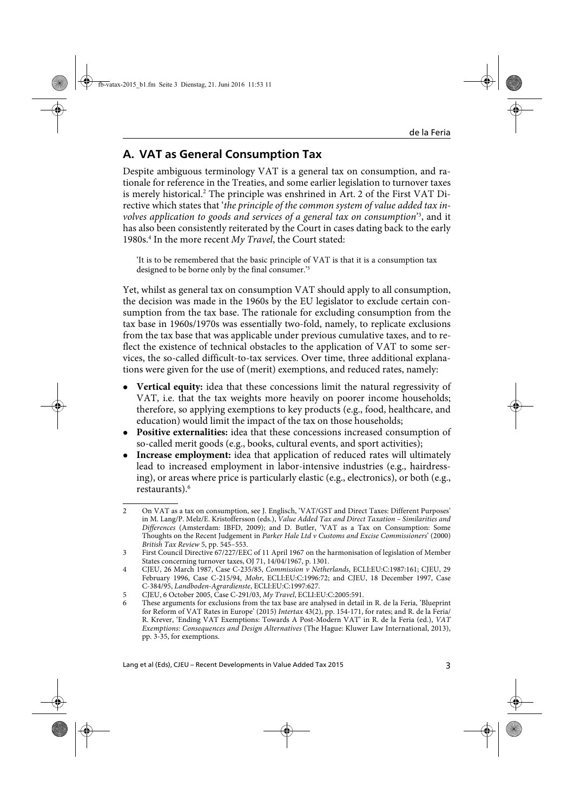### **A. VAT as General Consumption Tax**

Despite ambiguous terminology VAT is a general tax on consumption, and rationale for reference in the Treaties, and some earlier legislation to turnover taxes is merely historical.<sup>2</sup> The principle was enshrined in Art. 2 of the First VAT Directive which states that '*the principle of the common system of value added tax involves application to goods and services of a general tax on consumption*' 3 , and it has also been consistently reiterated by the Court in cases dating back to the early 1980s.4 In the more recent *My Travel*, the Court stated:

'It is to be remembered that the basic principle of VAT is that it is a consumption tax designed to be borne only by the final consumer.'5

Yet, whilst as general tax on consumption VAT should apply to all consumption, the decision was made in the 1960s by the EU legislator to exclude certain consumption from the tax base. The rationale for excluding consumption from the tax base in 1960s/1970s was essentially two-fold, namely, to replicate exclusions from the tax base that was applicable under previous cumulative taxes, and to reflect the existence of technical obstacles to the application of VAT to some services, the so-called difficult-to-tax services. Over time, three additional explanations were given for the use of (merit) exemptions, and reduced rates, namely:

- **Vertical equity:** idea that these concessions limit the natural regressivity of VAT, i.e. that the tax weights more heavily on poorer income households; therefore, so applying exemptions to key products (e.g., food, healthcare, and education) would limit the impact of the tax on those households;
- **Positive externalities:** idea that these concessions increased consumption of so-called merit goods (e.g., books, cultural events, and sport activities);
- **Increase employment:** idea that application of reduced rates will ultimately lead to increased employment in labor-intensive industries (e.g., hairdressing), or areas where price is particularly elastic (e.g., electronics), or both (e.g., restaurants).6

<sup>2</sup> On VAT as a tax on consumption, see J. Englisch, 'VAT/GST and Direct Taxes: Different Purposes' in M. Lang/P. Melz/E. Kristoffersson (eds.), *Value Added Tax and Direct Taxation – Similarities and Differences* (Amsterdam: IBFD, 2009); and D. Butler, 'VAT as a Tax on Consumption: Some Thoughts on the Recent Judgement in *Parker Hale Ltd v Customs and Excise Commissioners*' (2000) *British Tax Review* 5, pp. 545–553.

<sup>3</sup> First Council Directive 67/227/EEC of 11 April 1967 on the harmonisation of legislation of Member States concerning turnover taxes, OJ 71, 14/04/1967, p. 1301.

<sup>4</sup> CJEU, 26 March 1987, Case C-235/85, *Commission v Netherlands*, ECLI:EU:C:1987:161; CJEU, 29 February 1996, Case C-215/94, *Mohr*, ECLI:EU:C:1996:72; and CJEU, 18 December 1997, Case C-384/95, *Landboden-Agrardienste*, ECLI:EU:C:1997:627.

<sup>5</sup> CJEU, 6 October 2005, Case C-291/03, *My Travel*, ECLI:EU:C:2005:591.

<sup>6</sup> These arguments for exclusions from the tax base are analysed in detail in R. de la Feria, 'Blueprint for Reform of VAT Rates in Europe' (2015) *Intertax* 43(2), pp. 154-171, for rates; and R. de la Feria/ R. Krever, 'Ending VAT Exemptions: Towards A Post-Modern VAT' in R. de la Feria (ed.), *VAT Exemptions: Consequences and Design Alternatives* (The Hague: Kluwer Law International, 2013), pp. 3-35, for exemptions.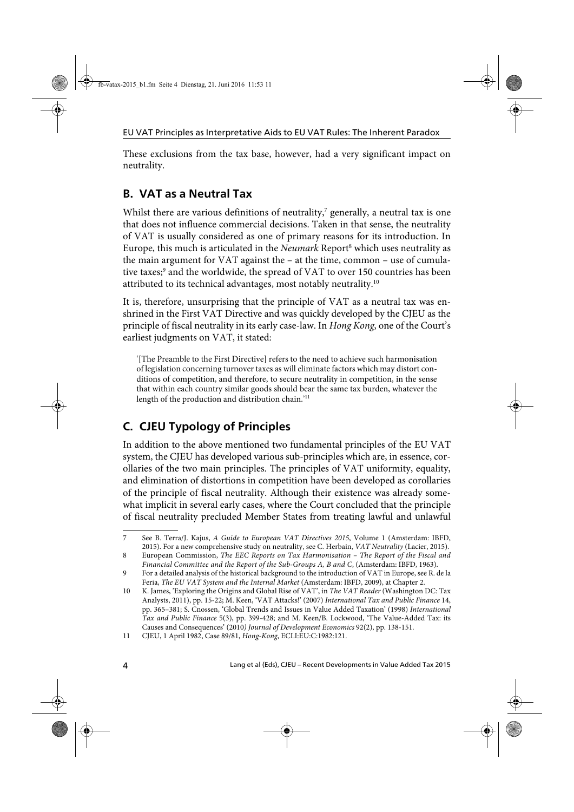These exclusions from the tax base, however, had a very significant impact on neutrality.

## **B. VAT as a Neutral Tax**

Whilst there are various definitions of neutrality, $7$  generally, a neutral tax is one that does not influence commercial decisions. Taken in that sense, the neutrality of VAT is usually considered as one of primary reasons for its introduction. In Europe, this much is articulated in the *Neumark* Report<sup>8</sup> which uses neutrality as the main argument for VAT against the – at the time, common – use of cumulative taxes;<sup>9</sup> and the worldwide, the spread of VAT to over 150 countries has been attributed to its technical advantages, most notably neutrality.10

It is, therefore, unsurprising that the principle of VAT as a neutral tax was enshrined in the First VAT Directive and was quickly developed by the CJEU as the principle of fiscal neutrality in its early case-law. In *Hong Kong*, one of the Court's earliest judgments on VAT, it stated:

'[The Preamble to the First Directive] refers to the need to achieve such harmonisation of legislation concerning turnover taxes as will eliminate factors which may distort conditions of competition, and therefore, to secure neutrality in competition, in the sense that within each country similar goods should bear the same tax burden, whatever the length of the production and distribution chain.'11

## **C. CJEU Typology of Principles**

In addition to the above mentioned two fundamental principles of the EU VAT system, the CJEU has developed various sub-principles which are, in essence, corollaries of the two main principles. The principles of VAT uniformity, equality, and elimination of distortions in competition have been developed as corollaries of the principle of fiscal neutrality. Although their existence was already somewhat implicit in several early cases, where the Court concluded that the principle of fiscal neutrality precluded Member States from treating lawful and unlawful

<sup>7</sup> See B. Terra/J. Kajus, *A Guide to European VAT Directives 2015*, Volume 1 (Amsterdam: IBFD, 2015). For a new comprehensive study on neutrality, see C. Herbain, *VAT Neutrality* (Lacier, 2015).

<sup>8</sup> European Commission, *The EEC Reports on Tax Harmonisation – The Report of the Fiscal and Financial Committee and the Report of the Sub-Groups A, B and C*, (Amsterdam: IBFD, 1963).

<sup>9</sup> For a detailed analysis of the historical background to the introduction of VAT in Europe, see R. de la Feria, *The EU VAT System and the Internal Market* (Amsterdam: IBFD, 2009), at Chapter 2.

<sup>10</sup> K. James, 'Exploring the Origins and Global Rise of VAT', in *The VAT Reader* (Washington DC: Tax Analysts, 2011), pp. 15-22; M. Keen, 'VAT Attacks!' (2007) *International Tax and Public Finance* 14, pp. 365–381; S. Cnossen, 'Global Trends and Issues in Value Added Taxation' (1998) *International Tax and Public Finance* 5(3), pp. 399-428; and M. Keen/B. Lockwood, 'The Value-Added Tax: its Causes and Consequences' (2010*) Journal of Development Economics* 92(2), pp. 138-151.

<sup>11</sup> CJEU, 1 April 1982, Case 89/81, *Hong-Kong*, ECLI:EU:C:1982:121.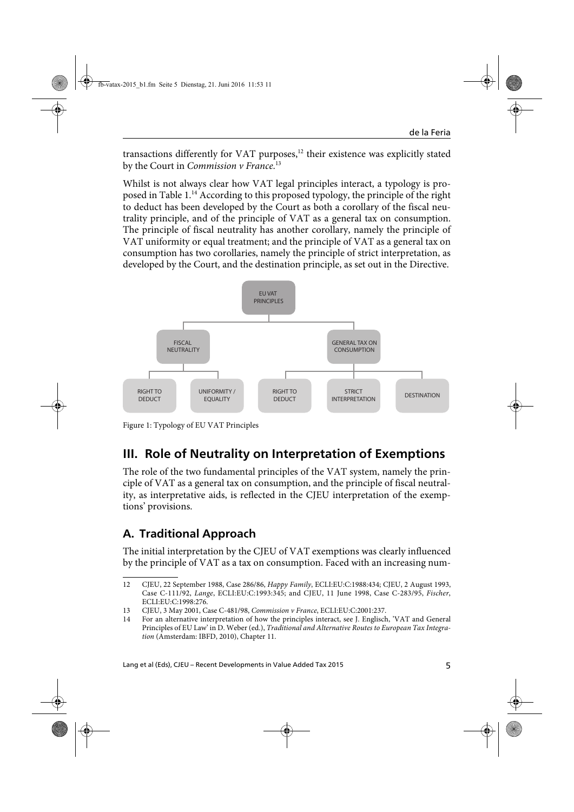transactions differently for VAT purposes, $12$  their existence was explicitly stated by the Court in *Commission v France*. 13

Whilst is not always clear how VAT legal principles interact, a typology is proposed in Table 1.14 According to this proposed typology, the principle of the right to deduct has been developed by the Court as both a corollary of the fiscal neutrality principle, and of the principle of VAT as a general tax on consumption. The principle of fiscal neutrality has another corollary, namely the principle of VAT uniformity or equal treatment; and the principle of VAT as a general tax on consumption has two corollaries, namely the principle of strict interpretation, as developed by the Court, and the destination principle, as set out in the Directive.



Figure 1: Typology of EU VAT Principles

# **III. Role of Neutrality on Interpretation of Exemptions**

The role of the two fundamental principles of the VAT system, namely the principle of VAT as a general tax on consumption, and the principle of fiscal neutrality, as interpretative aids, is reflected in the CJEU interpretation of the exemptions' provisions.

## **A. Traditional Approach**

The initial interpretation by the CJEU of VAT exemptions was clearly influenced by the principle of VAT as a tax on consumption. Faced with an increasing num-

<sup>12</sup> CJEU, 22 September 1988, Case 286/86, *Happy Family*, ECLI:EU:C:1988:434; CJEU, 2 August 1993, Case C-111/92, *Lange*, ECLI:EU:C:1993:345; and CJEU, 11 June 1998, Case C-283/95, *Fischer*, ECLI:EU:C:1998:276.

<sup>13</sup> CJEU, 3 May 2001, Case C-481/98, *Commission v France*, ECLI:EU:C:2001:237.

<sup>14</sup> For an alternative interpretation of how the principles interact, see J. Englisch, 'VAT and General Principles of EU Law' in D. Weber (ed.), *Traditional and Alternative Routes to European Tax Integration* (Amsterdam: IBFD, 2010), Chapter 11.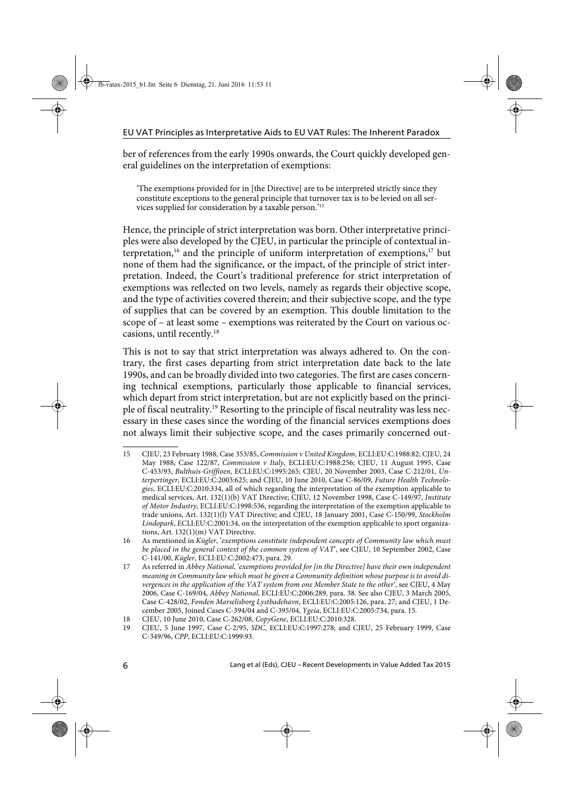ber of references from the early 1990s onwards, the Court quickly developed general guidelines on the interpretation of exemptions:

'The exemptions provided for in [the Directive] are to be interpreted strictly since they constitute exceptions to the general principle that turnover tax is to be levied on all services supplied for consideration by a taxable person.'15

Hence, the principle of strict interpretation was born. Other interpretative principles were also developed by the CJEU, in particular the principle of contextual interpretation,<sup>16</sup> and the principle of uniform interpretation of exemptions,<sup>17</sup> but none of them had the significance, or the impact, of the principle of strict interpretation. Indeed, the Court's traditional preference for strict interpretation of exemptions was reflected on two levels, namely as regards their objective scope, and the type of activities covered therein; and their subjective scope, and the type of supplies that can be covered by an exemption. This double limitation to the scope of – at least some – exemptions was reiterated by the Court on various occasions, until recently.18

This is not to say that strict interpretation was always adhered to. On the contrary, the first cases departing from strict interpretation date back to the late 1990s, and can be broadly divided into two categories. The first are cases concerning technical exemptions, particularly those applicable to financial services, which depart from strict interpretation, but are not explicitly based on the principle of fiscal neutrality.19 Resorting to the principle of fiscal neutrality was less necessary in these cases since the wording of the financial services exemptions does not always limit their subjective scope, and the cases primarily concerned out-

<sup>15</sup> CJEU, 23 February 1988, Case 353/85, *Commission v United Kingdom*, ECLI:EU:C:1988:82; CJEU, 24 May 1988, Case 122/87, *Commission v Italy*, ECLI:EU:C:1988:256; CJEU, 11 August 1995, Case C-453/93, *Bulthuis-Griffioen*, ECLI:EU:C:1995:265; CJEU, 20 November 2003, Case C-212/01, *Unterpertinger*, ECLI:EU:C:2003:625; and CJEU, 10 June 2010, Case C-86/09*, Future Health Technologies*, ECLI:EU:C:2010:334, all of which regarding the interpretation of the exemption applicable to medical services, Art. 132(1)(b) VAT Directive; CJEU, 12 November 1998, Case C-149/97, *Institute of Motor Industry*, ECLI:EU:C:1998:536, regarding the interpretation of the exemption applicable to trade unions, Art. 132(1)(l) VAT Directive; and CJEU, 18 January 2001, Case C-150/99, *Stockholm Lindopark*, ECLI:EU:C:2001:34, on the interpretation of the exemption applicable to sport organizations, Art. 132(1)(m) VAT Directive.

<sup>16</sup> As mentioned in *Kügler*, '*exemptions constitute independent concepts of Community law which must be placed in the general context of the common system of VAT*', see CJEU, 10 September 2002, Case C-141/00, *Kügler*, ECLI:EU:C:2002:473, para. 29.

<sup>17</sup> As referred in *Abbey National*, '*exemptions provided for [in the Directive] have their own independent meaning in Community law which must be given a Community definition whose purpose is to avoid divergences in the application of the VAT system from one Member State to the other*', see CJEU, 4 May 2006, Case C-169/04, *Abbey National*, ECLI:EU:C:2006:289, para. 38. See also CJEU, 3 March 2005, Case C-428/02, *Fonden Marselisborg Lystbadehavn*, ECLI:EU:C:2005:126, para. 27; and CJEU, 1 December 2005, Joined Cases C-394/04 and C-395/04, *Ygeia*, ECLI:EU:C:2005:734, para. 15.

<sup>18</sup> CJEU, 10 June 2010, Case C-262/08, *CopyGene*, ECLI:EU:C:2010:328.

<sup>19</sup> CJEU, 5 June 1997, Case C-2/95, *SDC*, ECLI:EU:C:1997:278; and CJEU, 25 February 1999, Case C-349/96, *CPP*, ECLI:EU:C:1999:93.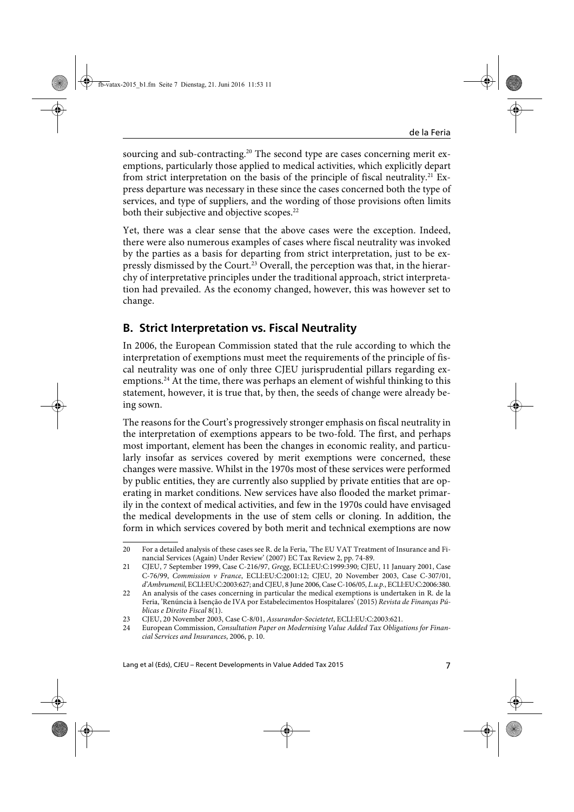sourcing and sub-contracting.<sup>20</sup> The second type are cases concerning merit exemptions, particularly those applied to medical activities, which explicitly depart from strict interpretation on the basis of the principle of fiscal neutrality.<sup>21</sup> Express departure was necessary in these since the cases concerned both the type of services, and type of suppliers, and the wording of those provisions often limits both their subjective and objective scopes.<sup>22</sup>

Yet, there was a clear sense that the above cases were the exception. Indeed, there were also numerous examples of cases where fiscal neutrality was invoked by the parties as a basis for departing from strict interpretation, just to be expressly dismissed by the Court.<sup>23</sup> Overall, the perception was that, in the hierarchy of interpretative principles under the traditional approach, strict interpretation had prevailed. As the economy changed, however, this was however set to change.

### **B. Strict Interpretation vs. Fiscal Neutrality**

In 2006, the European Commission stated that the rule according to which the interpretation of exemptions must meet the requirements of the principle of fiscal neutrality was one of only three CJEU jurisprudential pillars regarding exemptions.<sup>24</sup> At the time, there was perhaps an element of wishful thinking to this statement, however, it is true that, by then, the seeds of change were already being sown.

The reasons for the Court's progressively stronger emphasis on fiscal neutrality in the interpretation of exemptions appears to be two-fold. The first, and perhaps most important, element has been the changes in economic reality, and particularly insofar as services covered by merit exemptions were concerned, these changes were massive. Whilst in the 1970s most of these services were performed by public entities, they are currently also supplied by private entities that are operating in market conditions. New services have also flooded the market primarily in the context of medical activities, and few in the 1970s could have envisaged the medical developments in the use of stem cells or cloning. In addition, the form in which services covered by both merit and technical exemptions are now

<sup>20</sup> For a detailed analysis of these cases see R. de la Feria, 'The EU VAT Treatment of Insurance and Financial Services (Again) Under Review' (2007) EC Tax Review 2, pp. 74-89.

<sup>21</sup> CJEU, 7 September 1999, Case C-216/97, *Gregg*, ECLI:EU:C:1999:390; CJEU, 11 January 2001, Case C-76/99, *Commission v France*, ECLI:EU:C:2001:12; CJEU, 20 November 2003, Case C-307/01, *d'Ambrumenil*, ECLI:EU:C:2003:627; and CJEU, 8 June 2006, Case C-106/05, *L.u.p.*, ECLI:EU:C:2006:380.

<sup>22</sup> An analysis of the cases concerning in particular the medical exemptions is undertaken in R. de la Feria, 'Renúncia à Isenção de IVA por Estabelecimentos Hospitalares' (2015) *Revista de Finanças Públicas e Direito Fiscal* 8(1).

<sup>23</sup> CJEU, 20 November 2003, Case C-8/01, *Assurandor-Societetet*, ECLI:EU:C:2003:621.

<sup>24</sup> European Commission, *Consultation Paper on Modernising Value Added Tax Obligations for Financial Services and Insurances*, 2006, p. 10.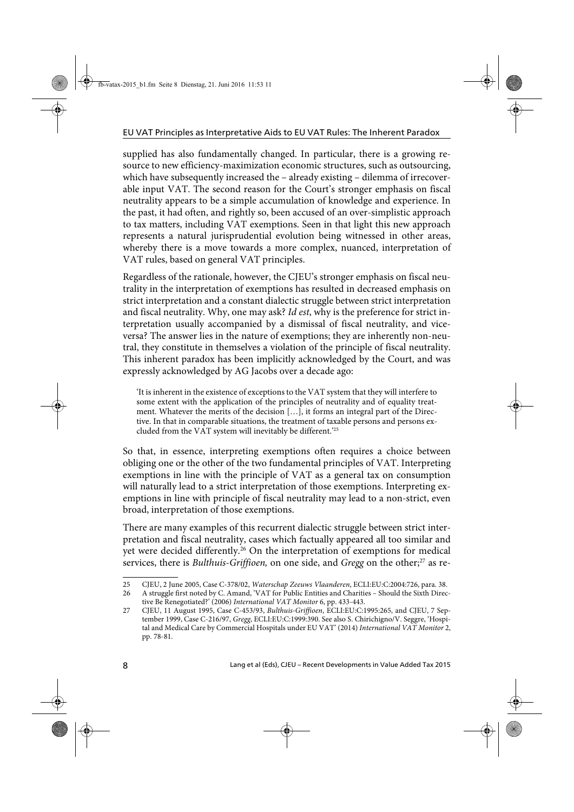supplied has also fundamentally changed. In particular, there is a growing resource to new efficiency-maximization economic structures, such as outsourcing, which have subsequently increased the – already existing – dilemma of irrecoverable input VAT. The second reason for the Court's stronger emphasis on fiscal neutrality appears to be a simple accumulation of knowledge and experience. In the past, it had often, and rightly so, been accused of an over-simplistic approach to tax matters, including VAT exemptions. Seen in that light this new approach represents a natural jurisprudential evolution being witnessed in other areas, whereby there is a move towards a more complex, nuanced, interpretation of VAT rules, based on general VAT principles.

Regardless of the rationale, however, the CJEU's stronger emphasis on fiscal neutrality in the interpretation of exemptions has resulted in decreased emphasis on strict interpretation and a constant dialectic struggle between strict interpretation and fiscal neutrality. Why, one may ask? *Id est*, why is the preference for strict interpretation usually accompanied by a dismissal of fiscal neutrality, and viceversa? The answer lies in the nature of exemptions; they are inherently non-neutral, they constitute in themselves a violation of the principle of fiscal neutrality. This inherent paradox has been implicitly acknowledged by the Court, and was expressly acknowledged by AG Jacobs over a decade ago:

'It is inherent in the existence of exceptions to the VAT system that they will interfere to some extent with the application of the principles of neutrality and of equality treatment. Whatever the merits of the decision […], it forms an integral part of the Directive. In that in comparable situations, the treatment of taxable persons and persons excluded from the VAT system will inevitably be different.'25

So that, in essence, interpreting exemptions often requires a choice between obliging one or the other of the two fundamental principles of VAT. Interpreting exemptions in line with the principle of VAT as a general tax on consumption will naturally lead to a strict interpretation of those exemptions. Interpreting exemptions in line with principle of fiscal neutrality may lead to a non-strict, even broad, interpretation of those exemptions.

There are many examples of this recurrent dialectic struggle between strict interpretation and fiscal neutrality, cases which factually appeared all too similar and yet were decided differently.<sup>26</sup> On the interpretation of exemptions for medical services, there is *Bulthuis-Griffioen*, on one side, and *Gregg* on the other;<sup>27</sup> as re-

<sup>25</sup> CJEU, 2 June 2005, Case C-378/02, *Waterschap Zeeuws Vlaanderen*, ECLI:EU:C:2004:726, para. 38.

<sup>26</sup> A struggle first noted by C. Amand, 'VAT for Public Entities and Charities – Should the Sixth Directive Be Renegotiated?' (2006) *International VAT Monitor* 6, pp. 433-443.

<sup>27</sup> CJEU, 11 August 1995, Case C-453/93, *Bulthuis-Griffioen*, ECLI:EU:C:1995:265, and CJEU, 7 September 1999, Case C-216/97, *Gregg*, ECLI:EU:C:1999:390. See also S. Chirichigno/V. Seggre, 'Hospital and Medical Care by Commercial Hospitals under EU VAT' (2014) *International VAT Monitor* 2, pp. 78-81.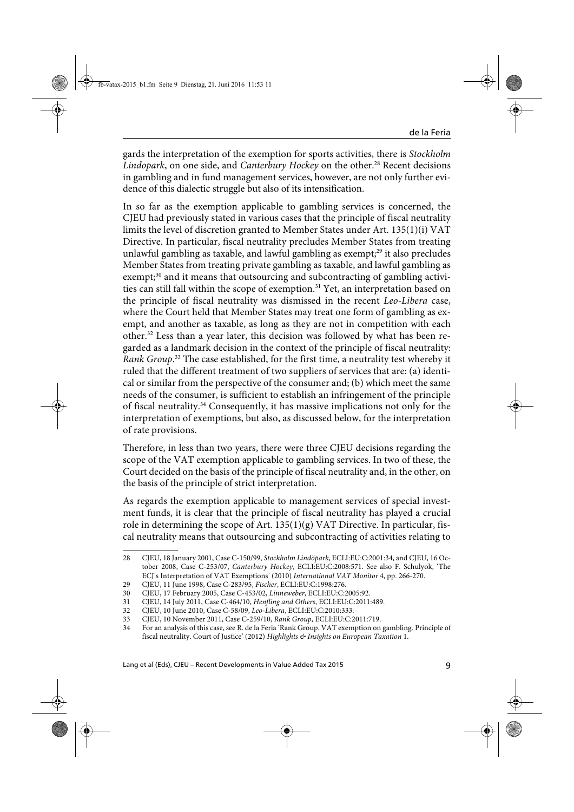gards the interpretation of the exemption for sports activities, there is *Stockholm Lindopark*, on one side, and *Canterbury Hockey* on the other.28 Recent decisions in gambling and in fund management services, however, are not only further evidence of this dialectic struggle but also of its intensification.

In so far as the exemption applicable to gambling services is concerned, the CJEU had previously stated in various cases that the principle of fiscal neutrality limits the level of discretion granted to Member States under Art. 135(1)(i) VAT Directive. In particular, fiscal neutrality precludes Member States from treating unlawful gambling as taxable, and lawful gambling as exempt; $29$  it also precludes Member States from treating private gambling as taxable, and lawful gambling as exempt;<sup>30</sup> and it means that outsourcing and subcontracting of gambling activities can still fall within the scope of exemption.<sup>31</sup> Yet, an interpretation based on the principle of fiscal neutrality was dismissed in the recent *Leo-Libera* case, where the Court held that Member States may treat one form of gambling as exempt, and another as taxable, as long as they are not in competition with each other.32 Less than a year later, this decision was followed by what has been regarded as a landmark decision in the context of the principle of fiscal neutrality: *Rank Group*. 33 The case established, for the first time, a neutrality test whereby it ruled that the different treatment of two suppliers of services that are: (a) identical or similar from the perspective of the consumer and; (b) which meet the same needs of the consumer, is sufficient to establish an infringement of the principle of fiscal neutrality.34 Consequently, it has massive implications not only for the interpretation of exemptions, but also, as discussed below, for the interpretation of rate provisions.

Therefore, in less than two years, there were three CJEU decisions regarding the scope of the VAT exemption applicable to gambling services. In two of these, the Court decided on the basis of the principle of fiscal neutrality and, in the other, on the basis of the principle of strict interpretation.

As regards the exemption applicable to management services of special investment funds, it is clear that the principle of fiscal neutrality has played a crucial role in determining the scope of Art.  $135(1)(g)$  VAT Directive. In particular, fiscal neutrality means that outsourcing and subcontracting of activities relating to

<sup>28</sup> CJEU, 18 January 2001, Case C-150/99, *Stockholm Lindöpark*, ECLI:EU:C:2001:34, and CJEU, 16 October 2008, Case C-253/07, *Canterbury Hockey*, ECLI:EU:C:2008:571. See also F. Schulyok, 'The ECJ's Interpretation of VAT Exemptions' (2010) *International VAT Monitor* 4, pp. 266-270.

<sup>29</sup> CJEU, 11 June 1998, Case C-283/95, *Fischer*, ECLI:EU:C:1998:276.

<sup>30</sup> CJEU, 17 February 2005, Case C-453/02, *Linneweber*, ECLI:EU:C:2005:92.

<sup>31</sup> CJEU, 14 July 2011, Case C-464/10, *Henfling and Others*, ECLI:EU:C:2011:489.

<sup>32</sup> CJEU, 10 June 2010, Case C-58/09, *Leo-Libera*, ECLI:EU:C:2010:333.

<sup>33</sup> CJEU, 10 November 2011, Case C-259/10, *Rank Group*, ECLI:EU:C:2011:719.

<sup>34</sup> For an analysis of this case, see R. de la Feria 'Rank Group. VAT exemption on gambling. Principle of fiscal neutrality. Court of Justice' (2012) *Highlights & Insights on European Taxation* 1.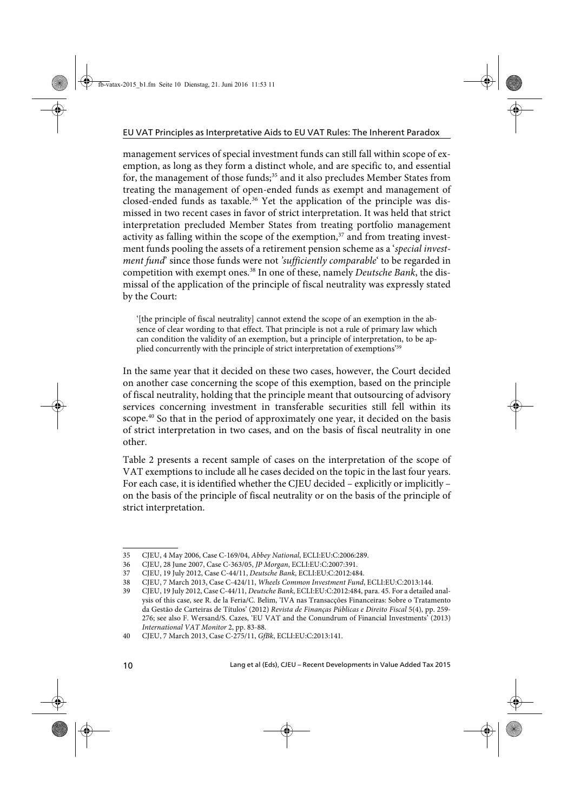management services of special investment funds can still fall within scope of exemption, as long as they form a distinct whole, and are specific to, and essential for, the management of those funds;<sup>35</sup> and it also precludes Member States from treating the management of open-ended funds as exempt and management of closed-ended funds as taxable.<sup>36</sup> Yet the application of the principle was dismissed in two recent cases in favor of strict interpretation. It was held that strict interpretation precluded Member States from treating portfolio management activity as falling within the scope of the exemption, $37$  and from treating investment funds pooling the assets of a retirement pension scheme as a '*special investment fund*' since those funds were not *'sufficiently comparable*' to be regarded in competition with exempt ones.<sup>38</sup> In one of these, namely *Deutsche Bank*, the dismissal of the application of the principle of fiscal neutrality was expressly stated by the Court:

'[the principle of fiscal neutrality] cannot extend the scope of an exemption in the absence of clear wording to that effect. That principle is not a rule of primary law which can condition the validity of an exemption, but a principle of interpretation, to be applied concurrently with the principle of strict interpretation of exemptions'39

In the same year that it decided on these two cases, however, the Court decided on another case concerning the scope of this exemption, based on the principle of fiscal neutrality, holding that the principle meant that outsourcing of advisory services concerning investment in transferable securities still fell within its scope.<sup>40</sup> So that in the period of approximately one year, it decided on the basis of strict interpretation in two cases, and on the basis of fiscal neutrality in one other.

Table 2 presents a recent sample of cases on the interpretation of the scope of VAT exemptions to include all he cases decided on the topic in the last four years. For each case, it is identified whether the CJEU decided – explicitly or implicitly – on the basis of the principle of fiscal neutrality or on the basis of the principle of strict interpretation.

<sup>35</sup> CJEU, 4 May 2006, Case C-169/04, *Abbey National*, ECLI:EU:C:2006:289.

<sup>36</sup> CJEU, 28 June 2007, Case C-363/05, *JP Morgan*, ECLI:EU:C:2007:391.

<sup>37</sup> CJEU, 19 July 2012, Case C-44/11, *Deutsche Bank*, ECLI:EU:C:2012:484.

<sup>38</sup> CJEU, 7 March 2013, Case C-424/11, *Wheels Common Investment Fund*, ECLI:EU:C:2013:144.

<sup>39</sup> CJEU, 19 July 2012, Case C-44/11, *Deutsche Bank*, ECLI:EU:C:2012:484, para. 45. For a detailed analysis of this case, see R. de la Feria/C. Belim, 'IVA nas Transacções Financeiras: Sobre o Tratamento da Gestão de Carteiras de Títulos' (2012) *Revista de Finanças Públicas e Direito Fiscal* 5(4), pp. 259- 276; see also F. Wersand/S. Cazes, 'EU VAT and the Conundrum of Financial Investments' (2013) *International VAT Monitor* 2, pp. 83-88.

<sup>40</sup> CJEU, 7 March 2013, Case C-275/11, *GfBk*, ECLI:EU:C:2013:141.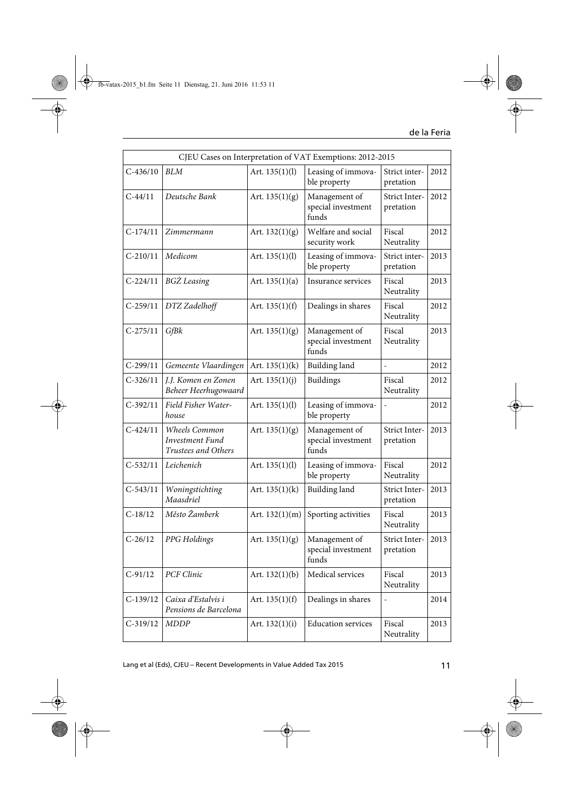| CJEU Cases on Interpretation of VAT Exemptions: 2012-2015 |                                                                |                  |                                              |                                   |      |  |
|-----------------------------------------------------------|----------------------------------------------------------------|------------------|----------------------------------------------|-----------------------------------|------|--|
| $C-436/10$                                                | <b>BLM</b>                                                     | Art. $135(1)(l)$ | Leasing of immova-<br>ble property           | Strict inter-<br>pretation        | 2012 |  |
| $C-44/11$                                                 | Deutsche Bank                                                  | Art. $135(1)(g)$ | Management of<br>special investment<br>funds | Strict Inter-<br>pretation        | 2012 |  |
| $C-174/11$                                                | Zimmermann                                                     | Art. $132(1)(g)$ | Welfare and social<br>security work          | Fiscal<br>Neutrality              | 2012 |  |
| $C-210/11$                                                | Medicom                                                        | Art. $135(1)(l)$ | Leasing of immova-<br>ble property           | Strict inter-<br>pretation        | 2013 |  |
| $C-224/11$                                                | <b>BGZ</b> Leasing                                             | Art. $135(1)(a)$ | Insurance services                           | Fiscal<br>Neutrality              | 2013 |  |
| $C-259/11$                                                | DTZ Zadelhoff                                                  | Art. $135(1)(f)$ | Dealings in shares                           | Fiscal<br>Neutrality              | 2012 |  |
| $C-275/11$                                                | GfBk                                                           | Art. $135(1)(g)$ | Management of<br>special investment<br>funds | Fiscal<br>Neutrality              | 2013 |  |
| $C-299/11$                                                | Gemeente Vlaardingen                                           | Art. $135(1)(k)$ | <b>Building</b> land                         | $\overline{a}$                    | 2012 |  |
| $C-326/11$                                                | J.J. Komen en Zonen<br>Beheer Heerhugowaard                    | Art. $135(1)(j)$ | <b>Buildings</b>                             | Fiscal<br>Neutrality              | 2012 |  |
| $C-392/11$                                                | Field Fisher Water-<br>house                                   | Art. 135(1)(l)   | Leasing of immova-<br>ble property           |                                   | 2012 |  |
| $C-424/11$                                                | Wheels Common<br><b>Investment Fund</b><br>Trustees and Others | Art. $135(1)(g)$ | Management of<br>special investment<br>funds | Strict Inter-<br>pretation        | 2013 |  |
| $C-532/11$                                                | Leichenich                                                     | Art. $135(1)(l)$ | Leasing of immova-<br>ble property           | Fiscal<br>Neutrality              | 2012 |  |
| $C-543/11$                                                | Woningstichting<br>Maasdriel                                   | Art. $135(1)(k)$ | <b>Building</b> land                         | Strict Inter-<br>pretation        | 2013 |  |
| $C-18/12$                                                 | Město Žamberk                                                  | Art. $132(1)(m)$ | Sporting activities                          | Fiscal<br>Neutrality              | 2013 |  |
| $C-26/12$                                                 | PPG Holdings                                                   | Art. $135(1)(g)$ | Management of<br>special investment<br>funds | <b>Strict Inter-</b><br>pretation | 2013 |  |
| $C-91/12$                                                 | PCF Clinic                                                     | Art. $132(1)(b)$ | Medical services                             | Fiscal<br>Neutrality              | 2013 |  |
| $C-139/12$                                                | Caixa d'Estalvis i<br>Pensions de Barcelona                    | Art. $135(1)(f)$ | Dealings in shares                           | $\overline{a}$                    | 2014 |  |
| $C-319/12$                                                | <b>MDDP</b>                                                    | Art. $132(1)(i)$ | <b>Education services</b>                    | Fiscal<br>Neutrality              | 2013 |  |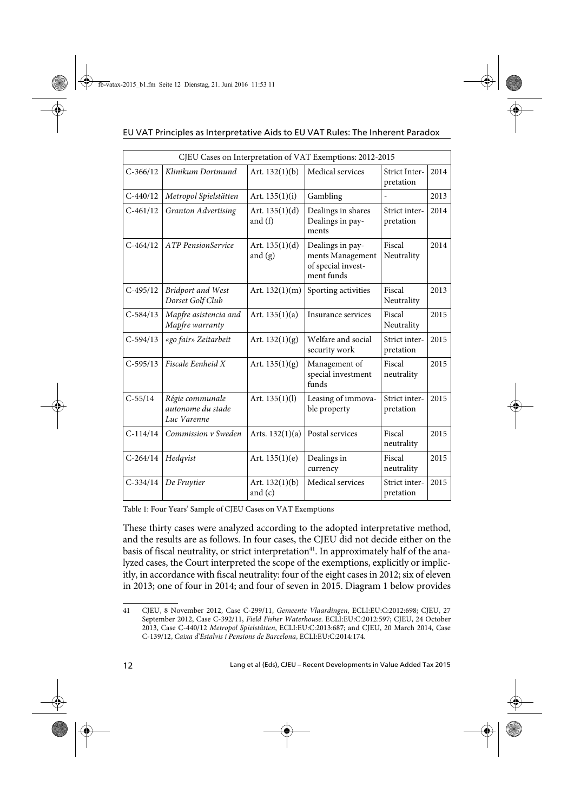#### EU VAT Principles as Interpretative Aids to EU VAT Rules: The Inherent Paradox

|              |                                                     |                               | CJEU Cases on Interpretation of VAT Exemptions: 2012-2015                |                                   |      |
|--------------|-----------------------------------------------------|-------------------------------|--------------------------------------------------------------------------|-----------------------------------|------|
| $C-366/12$   | Klinikum Dortmund                                   | Art. $132(1)(b)$              | Medical services                                                         | <b>Strict Inter-</b><br>pretation | 2014 |
| $C - 440/12$ | Metropol Spielstätten                               | Art. $135(1)(i)$              | Gambling                                                                 |                                   | 2013 |
| $C-461/12$   | <b>Granton Advertising</b>                          | Art. $135(1)(d)$<br>and $(f)$ | Dealings in shares<br>Dealings in pay-<br>ments                          | Strict inter-<br>pretation        | 2014 |
| $C-464/12$   | <b>ATP</b> PensionService                           | Art. $135(1)(d)$<br>and $(g)$ | Dealings in pay-<br>ments Management<br>of special invest-<br>ment funds | Fiscal<br>Neutrality              | 2014 |
| $C-495/12$   | <b>Bridport and West</b><br>Dorset Golf Club        | Art. $132(1)(m)$              | Sporting activities                                                      | Fiscal<br>Neutrality              | 2013 |
| $C-584/13$   | Mapfre asistencia and<br>Mapfre warranty            | Art. $135(1)(a)$              | Insurance services                                                       | Fiscal<br>Neutrality              | 2015 |
| $C-594/13$   | «go fair» Zeitarbeit                                | Art. $132(1)(g)$              | Welfare and social<br>security work                                      | Strict inter-<br>pretation        | 2015 |
| $C-595/13$   | Fiscale Eenheid X                                   | Art. $135(1)(g)$              | Management of<br>special investment<br>funds                             | Fiscal<br>neutrality              | 2015 |
| $C - 55/14$  | Régie communale<br>autonome du stade<br>Luc Varenne | Art. $135(1)(l)$              | Leasing of immova-<br>ble property                                       | Strict inter-<br>pretation        | 2015 |
| $C-114/14$   | Commission v Sweden                                 | Arts. $132(1)(a)$             | Postal services                                                          | Fiscal<br>neutrality              | 2015 |
| $C-264/14$   | Hedqvist                                            | Art. $135(1)(e)$              | Dealings in<br>currency                                                  | Fiscal<br>neutrality              | 2015 |
| $C-334/14$   | De Fruytier                                         | Art. $132(1)(b)$<br>and $(c)$ | Medical services                                                         | Strict inter-<br>pretation        | 2015 |

Table 1: Four Years' Sample of CJEU Cases on VAT Exemptions

These thirty cases were analyzed according to the adopted interpretative method, and the results are as follows. In four cases, the CJEU did not decide either on the basis of fiscal neutrality, or strict interpretation<sup>41</sup>. In approximately half of the analyzed cases, the Court interpreted the scope of the exemptions, explicitly or implicitly, in accordance with fiscal neutrality: four of the eight cases in 2012; six of eleven in 2013; one of four in 2014; and four of seven in 2015. Diagram 1 below provides

<sup>41</sup> CJEU, 8 November 2012, Case C-299/11, *Gemeente Vlaardingen*, ECLI:EU:C:2012:698; CJEU, 27 September 2012, Case C-392/11, *Field Fisher Waterhouse*. ECLI:EU:C:2012:597; CJEU, 24 October 2013, Case C-440/12 *Metropol Spielstätten*, ECLI:EU:C:2013:687; and CJEU, 20 March 2014, Case C-139/12, *Caixa d'Estalvis i Pensions de Barcelona*, ECLI:EU:C:2014:174.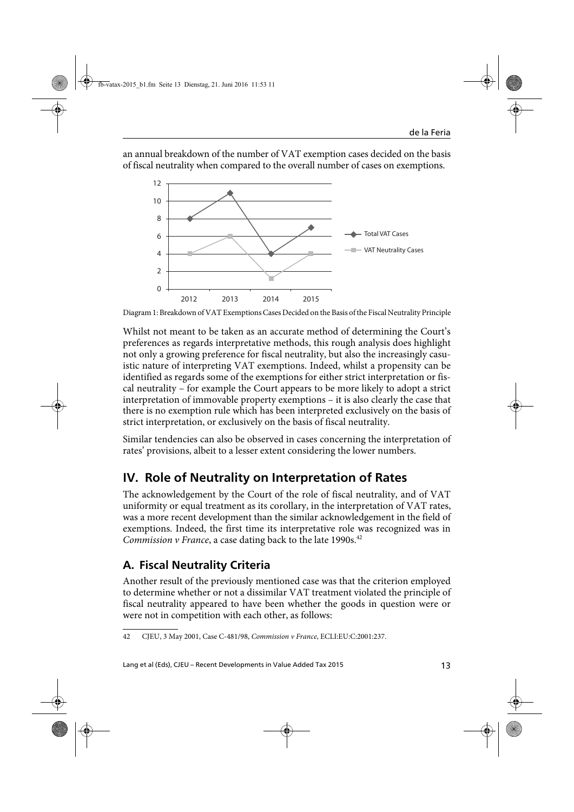an annual breakdown of the number of VAT exemption cases decided on the basis of fiscal neutrality when compared to the overall number of cases on exemptions.



Diagram 1: Breakdown of VAT Exemptions Cases Decided on the Basis of the Fiscal Neutrality Principle

Whilst not meant to be taken as an accurate method of determining the Court's preferences as regards interpretative methods, this rough analysis does highlight not only a growing preference for fiscal neutrality, but also the increasingly casuistic nature of interpreting VAT exemptions. Indeed, whilst a propensity can be identified as regards some of the exemptions for either strict interpretation or fiscal neutrality – for example the Court appears to be more likely to adopt a strict interpretation of immovable property exemptions – it is also clearly the case that there is no exemption rule which has been interpreted exclusively on the basis of strict interpretation, or exclusively on the basis of fiscal neutrality.

Similar tendencies can also be observed in cases concerning the interpretation of rates' provisions, albeit to a lesser extent considering the lower numbers.

## **IV. Role of Neutrality on Interpretation of Rates**

The acknowledgement by the Court of the role of fiscal neutrality, and of VAT uniformity or equal treatment as its corollary, in the interpretation of VAT rates, was a more recent development than the similar acknowledgement in the field of exemptions. Indeed, the first time its interpretative role was recognized was in *Commission v France*, a case dating back to the late 1990s.<sup>42</sup>

## **A. Fiscal Neutrality Criteria**

Another result of the previously mentioned case was that the criterion employed to determine whether or not a dissimilar VAT treatment violated the principle of fiscal neutrality appeared to have been whether the goods in question were or were not in competition with each other, as follows:

<sup>42</sup> CJEU, 3 May 2001, Case C-481/98, *Commission v France*, ECLI:EU:C:2001:237.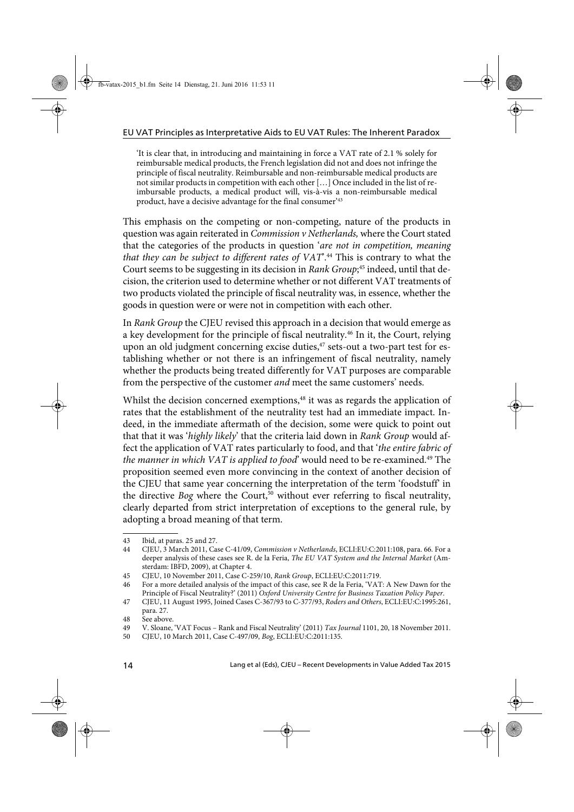'It is clear that, in introducing and maintaining in force a VAT rate of 2.1 % solely for reimbursable medical products, the French legislation did not and does not infringe the principle of fiscal neutrality. Reimbursable and non-reimbursable medical products are not similar products in competition with each other […] Once included in the list of reimbursable products, a medical product will, vis-à-vis a non-reimbursable medical product, have a decisive advantage for the final consumer'43

This emphasis on the competing or non-competing, nature of the products in question was again reiterated in *Commission v Netherlands,* where the Court stated that the categories of the products in question '*are not in competition, meaning that they can be subject to different rates of VAT*'.44 This is contrary to what the Court seems to be suggesting in its decision in *Rank Group*; 45 indeed, until that decision, the criterion used to determine whether or not different VAT treatments of two products violated the principle of fiscal neutrality was, in essence, whether the goods in question were or were not in competition with each other.

In *Rank Group* the CJEU revised this approach in a decision that would emerge as a key development for the principle of fiscal neutrality.<sup>46</sup> In it, the Court, relying upon an old judgment concerning excise duties,<sup>47</sup> sets-out a two-part test for establishing whether or not there is an infringement of fiscal neutrality, namely whether the products being treated differently for VAT purposes are comparable from the perspective of the customer *and* meet the same customers' needs.

Whilst the decision concerned exemptions,<sup>48</sup> it was as regards the application of rates that the establishment of the neutrality test had an immediate impact. Indeed, in the immediate aftermath of the decision, some were quick to point out that that it was '*highly likely*' that the criteria laid down in *Rank Group* would affect the application of VAT rates particularly to food, and that '*the entire fabric of* the manner in which VAT is applied to food' would need to be re-examined.<sup>49</sup> The proposition seemed even more convincing in the context of another decision of the CJEU that same year concerning the interpretation of the term 'foodstuff' in the directive *Bog* where the Court,<sup>50</sup> without ever referring to fiscal neutrality, clearly departed from strict interpretation of exceptions to the general rule, by adopting a broad meaning of that term.

<sup>43</sup> Ibid, at paras. 25 and 27.

<sup>44</sup> CJEU, 3 March 2011, Case C-41/09, *Commission v Netherlands*, ECLI:EU:C:2011:108, para. 66. For a deeper analysis of these cases see R. de la Feria, *The EU VAT System and the Internal Market* (Amsterdam: IBFD, 2009), at Chapter 4.

<sup>45</sup> CJEU, 10 November 2011, Case C-259/10, *Rank Group*, ECLI:EU:C:2011:719.

<sup>46</sup> For a more detailed analysis of the impact of this case, see R de la Feria, 'VAT: A New Dawn for the Principle of Fiscal Neutrality?' (2011) *Oxford University Centre for Business Taxation Policy Paper*.

<sup>47</sup> CJEU, 11 August 1995, Joined Cases C-367/93 to C-377/93, *Roders and Others*, ECLI:EU:C:1995:261, para. 27.

<sup>48</sup> See above.

<sup>49</sup> V. Sloane, 'VAT Focus – Rank and Fiscal Neutrality' (2011) *Tax Journal* 1101, 20, 18 November 2011.

<sup>50</sup> CJEU, 10 March 2011, Case C-497/09, *Bog*, ECLI:EU:C:2011:135.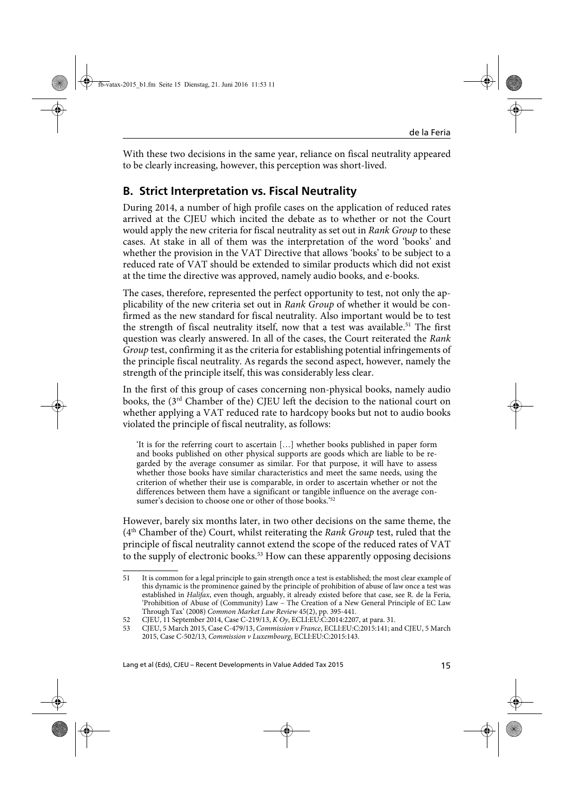With these two decisions in the same year, reliance on fiscal neutrality appeared to be clearly increasing, however, this perception was short-lived.

### **B. Strict Interpretation vs. Fiscal Neutrality**

During 2014, a number of high profile cases on the application of reduced rates arrived at the CJEU which incited the debate as to whether or not the Court would apply the new criteria for fiscal neutrality as set out in *Rank Group* to these cases. At stake in all of them was the interpretation of the word 'books' and whether the provision in the VAT Directive that allows 'books' to be subject to a reduced rate of VAT should be extended to similar products which did not exist at the time the directive was approved, namely audio books, and e-books.

The cases, therefore, represented the perfect opportunity to test, not only the applicability of the new criteria set out in *Rank Group* of whether it would be confirmed as the new standard for fiscal neutrality. Also important would be to test the strength of fiscal neutrality itself, now that a test was available.<sup>51</sup> The first question was clearly answered. In all of the cases, the Court reiterated the *Rank Group* test, confirming it as the criteria for establishing potential infringements of the principle fiscal neutrality. As regards the second aspect, however, namely the strength of the principle itself, this was considerably less clear.

In the first of this group of cases concerning non-physical books, namely audio books, the (3<sup>rd</sup> Chamber of the) CJEU left the decision to the national court on whether applying a VAT reduced rate to hardcopy books but not to audio books violated the principle of fiscal neutrality, as follows:

'It is for the referring court to ascertain […] whether books published in paper form and books published on other physical supports are goods which are liable to be regarded by the average consumer as similar. For that purpose, it will have to assess whether those books have similar characteristics and meet the same needs, using the criterion of whether their use is comparable, in order to ascertain whether or not the differences between them have a significant or tangible influence on the average consumer's decision to choose one or other of those books.<sup>'52</sup>

However, barely six months later, in two other decisions on the same theme, the (4th Chamber of the) Court, whilst reiterating the *Rank Group* test, ruled that the principle of fiscal neutrality cannot extend the scope of the reduced rates of VAT to the supply of electronic books.<sup>53</sup> How can these apparently opposing decisions

<sup>51</sup> It is common for a legal principle to gain strength once a test is established; the most clear example of this dynamic is the prominence gained by the principle of prohibition of abuse of law once a test was established in *Halifax*, even though, arguably, it already existed before that case, see R. de la Feria, 'Prohibition of Abuse of (Community) Law – The Creation of a New General Principle of EC Law Through Tax' (2008) *Common Market Law Review* 45(2), pp. 395-441.

<sup>52</sup> CJEU, 11 September 2014, Case C-219/13, *K Oy*, ECLI:EU:C:2014:2207, at para. 31.

<sup>53</sup> CJEU, 5 March 2015, Case C-479/13, *Commission v France*, ECLI:EU:C:2015:141; and CJEU, 5 March 2015, Case C-502/13, *Commission v Luxembourg*, ECLI:EU:C:2015:143.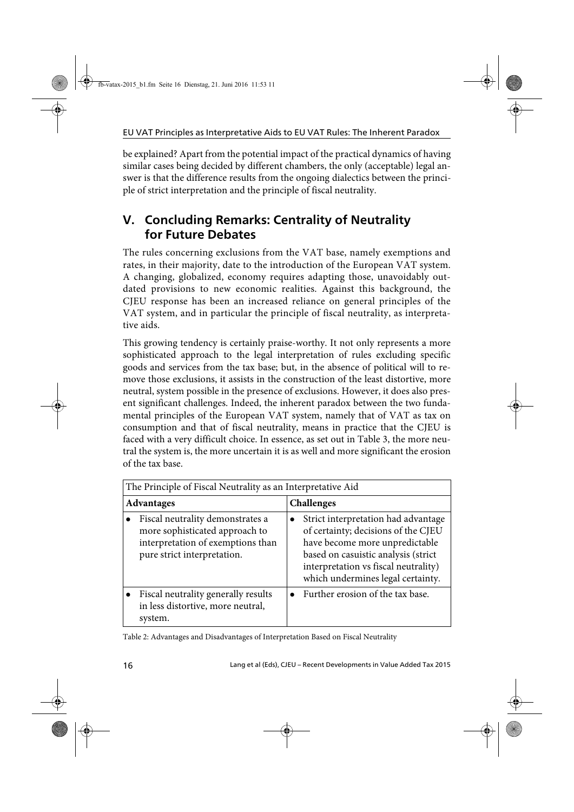be explained? Apart from the potential impact of the practical dynamics of having similar cases being decided by different chambers, the only (acceptable) legal answer is that the difference results from the ongoing dialectics between the principle of strict interpretation and the principle of fiscal neutrality.

## **V. Concluding Remarks: Centrality of Neutrality for Future Debates**

The rules concerning exclusions from the VAT base, namely exemptions and rates, in their majority, date to the introduction of the European VAT system. A changing, globalized, economy requires adapting those, unavoidably outdated provisions to new economic realities. Against this background, the CJEU response has been an increased reliance on general principles of the VAT system, and in particular the principle of fiscal neutrality, as interpretative aids.

This growing tendency is certainly praise-worthy. It not only represents a more sophisticated approach to the legal interpretation of rules excluding specific goods and services from the tax base; but, in the absence of political will to remove those exclusions, it assists in the construction of the least distortive, more neutral, system possible in the presence of exclusions. However, it does also present significant challenges. Indeed, the inherent paradox between the two fundamental principles of the European VAT system, namely that of VAT as tax on consumption and that of fiscal neutrality, means in practice that the CJEU is faced with a very difficult choice. In essence, as set out in Table 3, the more neutral the system is, the more uncertain it is as well and more significant the erosion of the tax base.

| The Principle of Fiscal Neutrality as an Interpretative Aid |                                                                                                                                        |                   |                                                                                                                                                                                                                                  |  |  |  |  |
|-------------------------------------------------------------|----------------------------------------------------------------------------------------------------------------------------------------|-------------------|----------------------------------------------------------------------------------------------------------------------------------------------------------------------------------------------------------------------------------|--|--|--|--|
| <b>Advantages</b>                                           |                                                                                                                                        | <b>Challenges</b> |                                                                                                                                                                                                                                  |  |  |  |  |
|                                                             | Fiscal neutrality demonstrates a<br>more sophisticated approach to<br>interpretation of exemptions than<br>pure strict interpretation. |                   | Strict interpretation had advantage<br>of certainty; decisions of the CJEU<br>have become more unpredictable<br>based on casuistic analysis (strict<br>interpretation vs fiscal neutrality)<br>which undermines legal certainty. |  |  |  |  |
|                                                             | Fiscal neutrality generally results<br>in less distortive, more neutral,<br>system.                                                    |                   | Further erosion of the tax base.                                                                                                                                                                                                 |  |  |  |  |

Table 2: Advantages and Disadvantages of Interpretation Based on Fiscal Neutrality